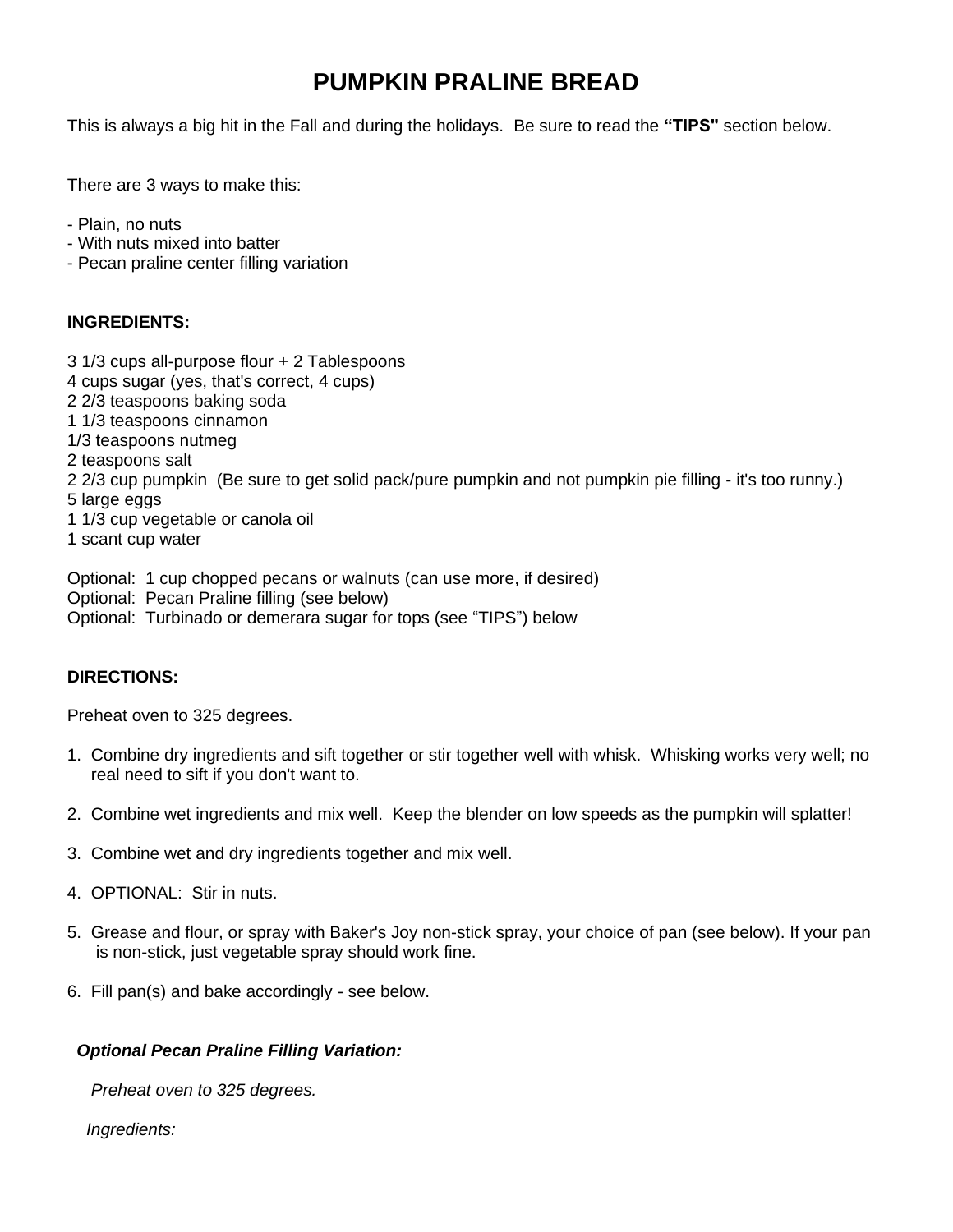# **PUMPKIN PRALINE BREAD**

This is always a big hit in the Fall and during the holidays. Be sure to read the **"TIPS"** section below.

There are 3 ways to make this:

- Plain, no nuts
- With nuts mixed into batter
- Pecan praline center filling variation

### **INGREDIENTS:**

- 3 1/3 cups all-purpose flour + 2 Tablespoons
- 4 cups sugar (yes, that's correct, 4 cups)
- 2 2/3 teaspoons baking soda
- 1 1/3 teaspoons cinnamon
- 1/3 teaspoons nutmeg
- 2 teaspoons salt
- 2 2/3 cup pumpkin (Be sure to get solid pack/pure pumpkin and not pumpkin pie filling it's too runny.) 5 large eggs
- 1 1/3 cup vegetable or canola oil
- 1 scant cup water

Optional: 1 cup chopped pecans or walnuts (can use more, if desired) Optional: Pecan Praline filling (see below) Optional: Turbinado or demerara sugar for tops (see "TIPS") below

## **DIRECTIONS:**

Preheat oven to 325 degrees.

- 1. Combine dry ingredients and sift together or stir together well with whisk. Whisking works very well; no real need to sift if you don't want to.
- 2. Combine wet ingredients and mix well. Keep the blender on low speeds as the pumpkin will splatter!
- 3. Combine wet and dry ingredients together and mix well.
- 4. OPTIONAL: Stir in nuts.
- 5. Grease and flour, or spray with Baker's Joy non-stick spray, your choice of pan (see below). If your pan is non-stick, just vegetable spray should work fine.
- 6. Fill pan(s) and bake accordingly see below.

### *Optional Pecan Praline Filling Variation:*

 *Preheat oven to 325 degrees.*

 *Ingredients:*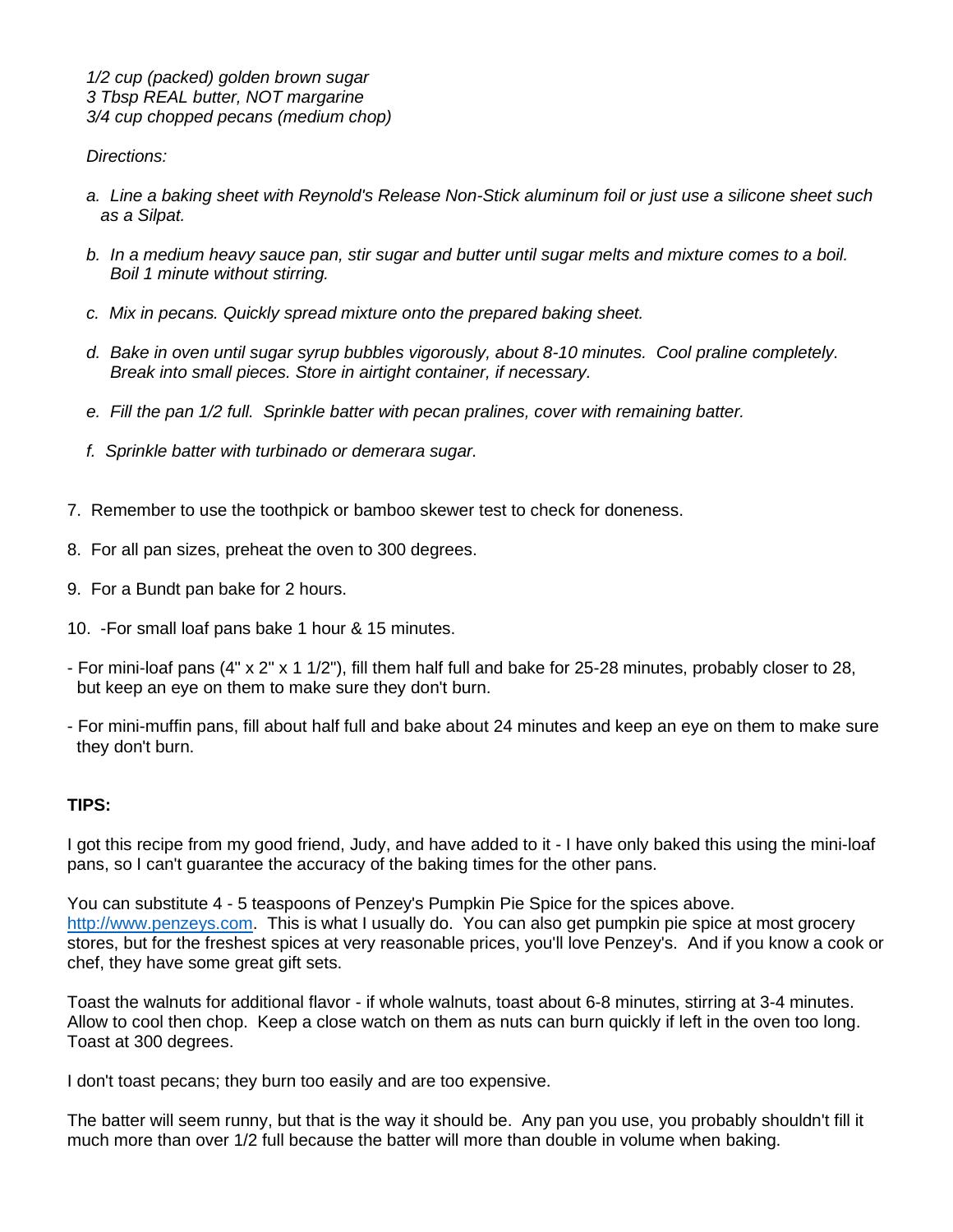#### *Directions:*

- *a. Line a baking sheet with Reynold's Release Non-Stick aluminum foil or just use a silicone sheet such as a Silpat.*
- *b. In a medium heavy sauce pan, stir sugar and butter until sugar melts and mixture comes to a boil. Boil 1 minute without stirring.*
- *c. Mix in pecans. Quickly spread mixture onto the prepared baking sheet.*
- *d. Bake in oven until sugar syrup bubbles vigorously, about 8-10 minutes. Cool praline completely. Break into small pieces. Store in airtight container, if necessary.*
- *e. Fill the pan 1/2 full. Sprinkle batter with pecan pralines, cover with remaining batter.*
- *f. Sprinkle batter with turbinado or demerara sugar.*
- 7. Remember to use the toothpick or bamboo skewer test to check for doneness.
- 8. For all pan sizes, preheat the oven to 300 degrees.
- 9. For a Bundt pan bake for 2 hours.
- 10. -For small loaf pans bake 1 hour & 15 minutes.
- For mini-loaf pans (4" x 2" x 1 1/2"), fill them half full and bake for 25-28 minutes, probably closer to 28, but keep an eye on them to make sure they don't burn.
- For mini-muffin pans, fill about half full and bake about 24 minutes and keep an eye on them to make sure they don't burn.

### **TIPS:**

I got this recipe from my good friend, Judy, and have added to it - I have only baked this using the mini-loaf pans, so I can't guarantee the accuracy of the baking times for the other pans.

You can substitute 4 - 5 teaspoons of Penzey's Pumpkin Pie Spice for the spices above. [http://www.penzeys.com.](http://www.penzeys.com/) This is what I usually do. You can also get pumpkin pie spice at most grocery stores, but for the freshest spices at very reasonable prices, you'll love Penzey's. And if you know a cook or chef, they have some great gift sets.

Toast the walnuts for additional flavor - if whole walnuts, toast about 6-8 minutes, stirring at 3-4 minutes. Allow to cool then chop. Keep a close watch on them as nuts can burn quickly if left in the oven too long. Toast at 300 degrees.

I don't toast pecans; they burn too easily and are too expensive.

The batter will seem runny, but that is the way it should be. Any pan you use, you probably shouldn't fill it much more than over 1/2 full because the batter will more than double in volume when baking.